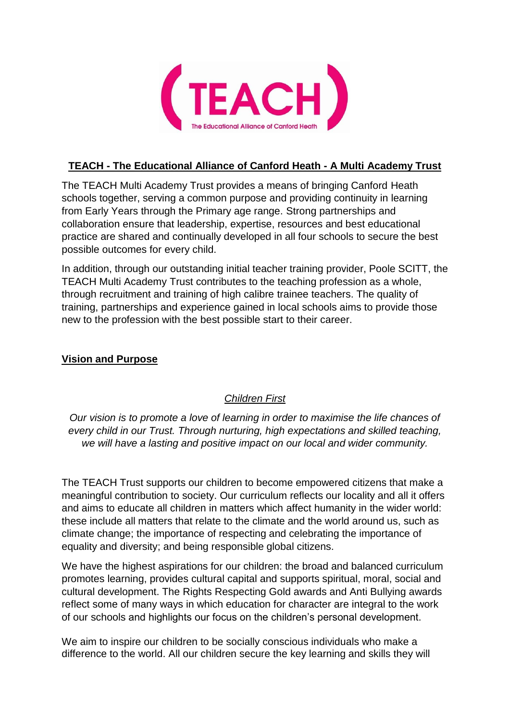

## **TEACH - The Educational Alliance of Canford Heath - A Multi Academy Trust**

The TEACH Multi Academy Trust provides a means of bringing Canford Heath schools together, serving a common purpose and providing continuity in learning from Early Years through the Primary age range. Strong partnerships and collaboration ensure that leadership, expertise, resources and best educational practice are shared and continually developed in all four schools to secure the best possible outcomes for every child.

In addition, through our outstanding initial teacher training provider, Poole SCITT, the TEACH Multi Academy Trust contributes to the teaching profession as a whole, through recruitment and training of high calibre trainee teachers. The quality of training, partnerships and experience gained in local schools aims to provide those new to the profession with the best possible start to their career.

## **Vision and Purpose**

# *Children First*

*Our vision is to promote a love of learning in order to maximise the life chances of every child in our Trust. Through nurturing, high expectations and skilled teaching, we will have a lasting and positive impact on our local and wider community.*

The TEACH Trust supports our children to become empowered citizens that make a meaningful contribution to society. Our curriculum reflects our locality and all it offers and aims to educate all children in matters which affect humanity in the wider world: these include all matters that relate to the climate and the world around us, such as climate change; the importance of respecting and celebrating the importance of equality and diversity; and being responsible global citizens.

We have the highest aspirations for our children: the broad and balanced curriculum promotes learning, provides cultural capital and supports spiritual, moral, social and cultural development. The Rights Respecting Gold awards and Anti Bullying awards reflect some of many ways in which education for character are integral to the work of our schools and highlights our focus on the children's personal development.

We aim to inspire our children to be socially conscious individuals who make a difference to the world. All our children secure the key learning and skills they will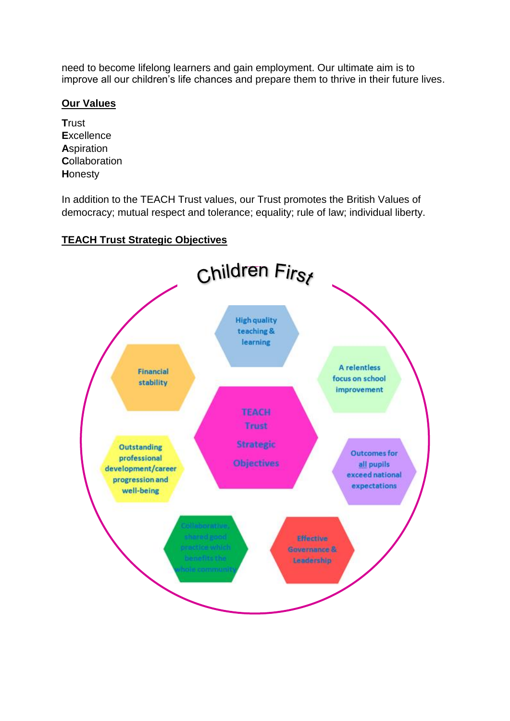need to become lifelong learners and gain employment. Our ultimate aim is to improve all our children's life chances and prepare them to thrive in their future lives.

### **Our Values**

**T**rust **E**xcellence **A**spiration **C**ollaboration **H**onesty

In addition to the TEACH Trust values, our Trust promotes the British Values of democracy; mutual respect and tolerance; equality; rule of law; individual liberty.

## **TEACH Trust Strategic Objectives**

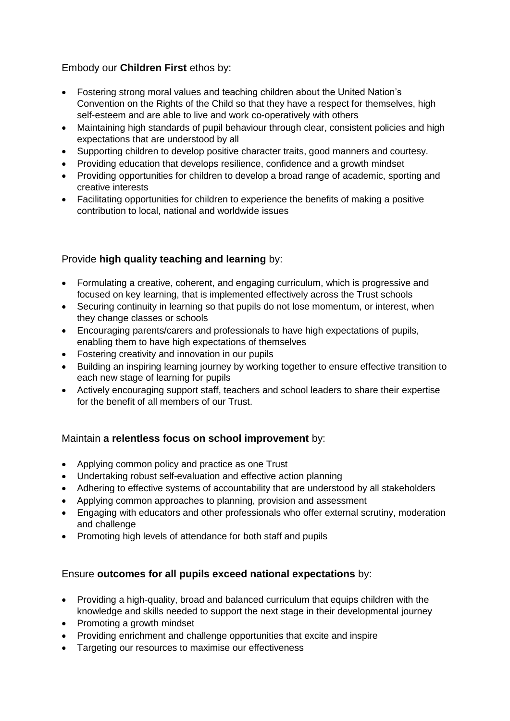## Embody our **Children First** ethos by:

- Fostering strong moral values and teaching children about the United Nation's Convention on the Rights of the Child so that they have a respect for themselves, high self-esteem and are able to live and work co-operatively with others
- Maintaining high standards of pupil behaviour through clear, consistent policies and high expectations that are understood by all
- Supporting children to develop positive character traits, good manners and courtesy.
- Providing education that develops resilience, confidence and a growth mindset
- Providing opportunities for children to develop a broad range of academic, sporting and creative interests
- Facilitating opportunities for children to experience the benefits of making a positive contribution to local, national and worldwide issues

## Provide **high quality teaching and learning** by:

- Formulating a creative, coherent, and engaging curriculum, which is progressive and focused on key learning, that is implemented effectively across the Trust schools
- Securing continuity in learning so that pupils do not lose momentum, or interest, when they change classes or schools
- Encouraging parents/carers and professionals to have high expectations of pupils, enabling them to have high expectations of themselves
- Fostering creativity and innovation in our pupils
- Building an inspiring learning journey by working together to ensure effective transition to each new stage of learning for pupils
- Actively encouraging support staff, teachers and school leaders to share their expertise for the benefit of all members of our Trust.

#### Maintain **a relentless focus on school improvement** by:

- Applying common policy and practice as one Trust
- Undertaking robust self-evaluation and effective action planning
- Adhering to effective systems of accountability that are understood by all stakeholders
- Applying common approaches to planning, provision and assessment
- Engaging with educators and other professionals who offer external scrutiny, moderation and challenge
- Promoting high levels of attendance for both staff and pupils

#### Ensure **outcomes for all pupils exceed national expectations** by:

- Providing a high-quality, broad and balanced curriculum that equips children with the knowledge and skills needed to support the next stage in their developmental journey
- Promoting a growth mindset
- Providing enrichment and challenge opportunities that excite and inspire
- Targeting our resources to maximise our effectiveness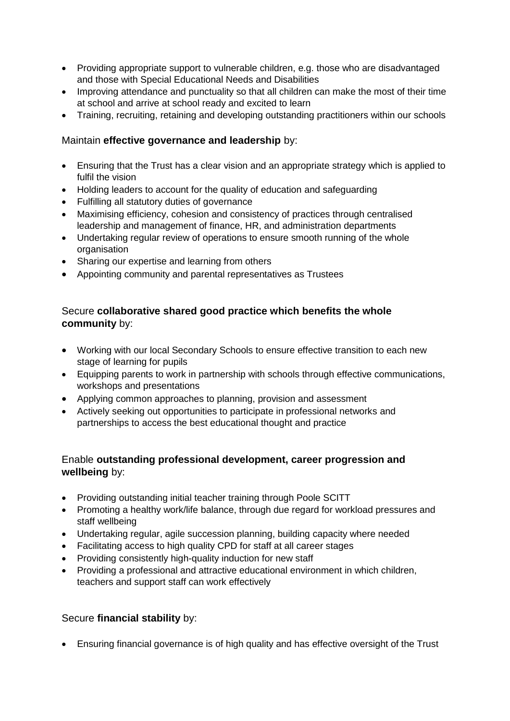- Providing appropriate support to vulnerable children, e.g. those who are disadvantaged and those with Special Educational Needs and Disabilities
- Improving attendance and punctuality so that all children can make the most of their time at school and arrive at school ready and excited to learn
- Training, recruiting, retaining and developing outstanding practitioners within our schools

### Maintain **effective governance and leadership** by:

- Ensuring that the Trust has a clear vision and an appropriate strategy which is applied to fulfil the vision
- Holding leaders to account for the quality of education and safeguarding
- Fulfilling all statutory duties of governance
- Maximising efficiency, cohesion and consistency of practices through centralised leadership and management of finance, HR, and administration departments
- Undertaking regular review of operations to ensure smooth running of the whole organisation
- Sharing our expertise and learning from others
- Appointing community and parental representatives as Trustees

## Secure **collaborative shared good practice which benefits the whole community** by:

- Working with our local Secondary Schools to ensure effective transition to each new stage of learning for pupils
- Equipping parents to work in partnership with schools through effective communications, workshops and presentations
- Applying common approaches to planning, provision and assessment
- Actively seeking out opportunities to participate in professional networks and partnerships to access the best educational thought and practice

## Enable **outstanding professional development, career progression and wellbeing** by:

- Providing outstanding initial teacher training through Poole SCITT
- Promoting a healthy work/life balance, through due regard for workload pressures and staff wellbeing
- Undertaking regular, agile succession planning, building capacity where needed
- Facilitating access to high quality CPD for staff at all career stages
- Providing consistently high-quality induction for new staff
- Providing a professional and attractive educational environment in which children, teachers and support staff can work effectively

#### Secure **financial stability** by:

• Ensuring financial governance is of high quality and has effective oversight of the Trust